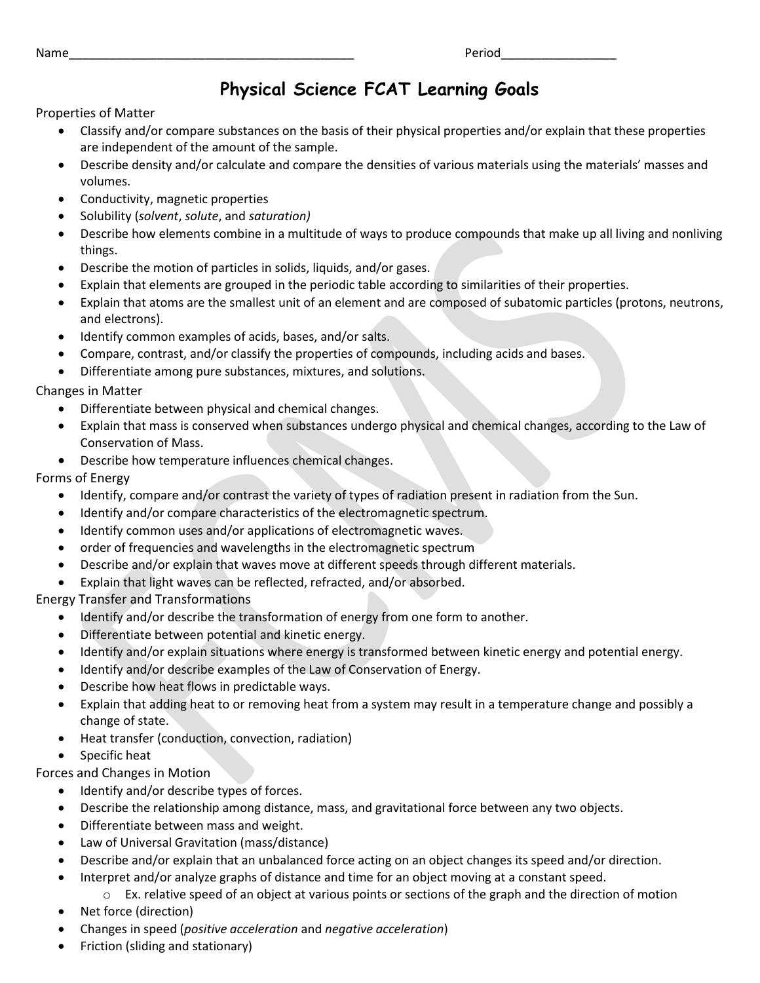## **Physical Science FCAT Learning Goals**

Properties of Matter

- Classify and/or compare substances on the basis of their physical properties and/or explain that these properties are independent of the amount of the sample.
- Describe density and/or calculate and compare the densities of various materials using the materials' masses and volumes.
- Conductivity, magnetic properties
- Solubility (*solvent*, *solute*, and *saturation)*
- Describe how elements combine in a multitude of ways to produce compounds that make up all living and nonliving things.
- Describe the motion of particles in solids, liquids, and/or gases.
- Explain that elements are grouped in the periodic table according to similarities of their properties.
- Explain that atoms are the smallest unit of an element and are composed of subatomic particles (protons, neutrons, and electrons).
- Identify common examples of acids, bases, and/or salts.
- Compare, contrast, and/or classify the properties of compounds, including acids and bases.
- Differentiate among pure substances, mixtures, and solutions.

Changes in Matter

- Differentiate between physical and chemical changes.
- Explain that mass is conserved when substances undergo physical and chemical changes, according to the Law of Conservation of Mass.
- Describe how temperature influences chemical changes.

Forms of Energy

- Identify, compare and/or contrast the variety of types of radiation present in radiation from the Sun.
- Identify and/or compare characteristics of the electromagnetic spectrum.
- Identify common uses and/or applications of electromagnetic waves.
- order of frequencies and wavelengths in the electromagnetic spectrum
- Describe and/or explain that waves move at different speeds through different materials.
- Explain that light waves can be reflected, refracted, and/or absorbed.

Energy Transfer and Transformations

- Identify and/or describe the transformation of energy from one form to another.
- Differentiate between potential and kinetic energy.
- Identify and/or explain situations where energy is transformed between kinetic energy and potential energy.
- Identify and/or describe examples of the Law of Conservation of Energy.
- Describe how heat flows in predictable ways.
- Explain that adding heat to or removing heat from a system may result in a temperature change and possibly a change of state.
- Heat transfer (conduction, convection, radiation)
- Specific heat

Forces and Changes in Motion

- Identify and/or describe types of forces.
- Describe the relationship among distance, mass, and gravitational force between any two objects.
- Differentiate between mass and weight.
- Law of Universal Gravitation (mass/distance)
- Describe and/or explain that an unbalanced force acting on an object changes its speed and/or direction.
- Interpret and/or analyze graphs of distance and time for an object moving at a constant speed.
	- $\circ$  Ex. relative speed of an object at various points or sections of the graph and the direction of motion
- Net force (direction)
- Changes in speed (*positive acceleration* and *negative acceleration*)
- Friction (sliding and stationary)